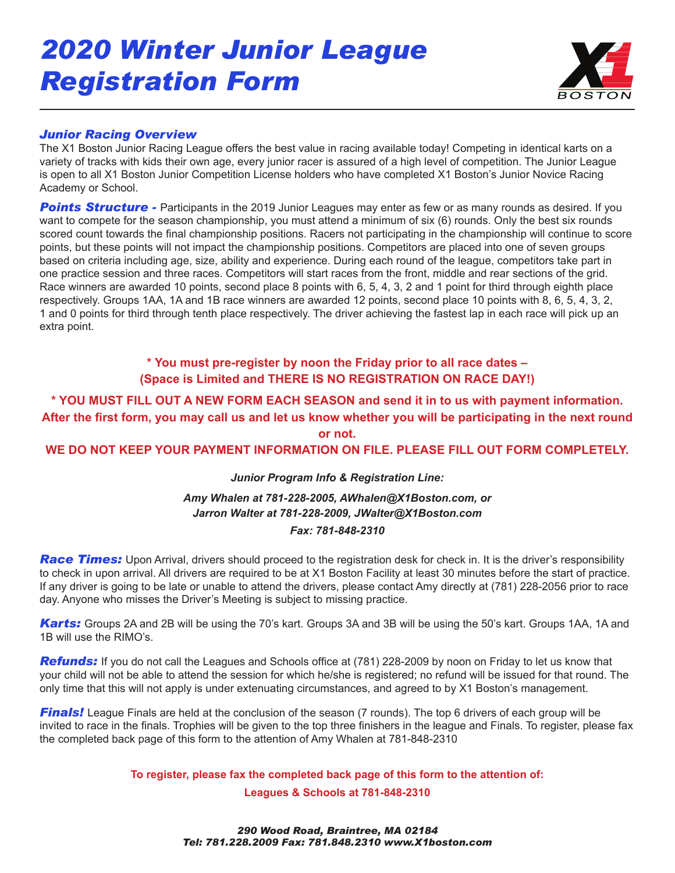# *2020 Winter Junior League Registration Form*



#### *Junior Racing Overview*

The X1 Boston Junior Racing League offers the best value in racing available today! Competing in identical karts on a variety of tracks with kids their own age, every junior racer is assured of a high level of competition. The Junior League is open to all X1 Boston Junior Competition License holders who have completed X1 Boston's Junior Novice Racing Academy or School.

**Points Structure -** Participants in the 2019 Junior Leagues may enter as few or as many rounds as desired. If you want to compete for the season championship, you must attend a minimum of six (6) rounds. Only the best six rounds scored count towards the final championship positions. Racers not participating in the championship will continue to score points, but these points will not impact the championship positions. Competitors are placed into one of seven groups based on criteria including age, size, ability and experience. During each round of the league, competitors take part in one practice session and three races. Competitors will start races from the front, middle and rear sections of the grid. Race winners are awarded 10 points, second place 8 points with 6, 5, 4, 3, 2 and 1 point for third through eighth place respectively. Groups 1AA, 1A and 1B race winners are awarded 12 points, second place 10 points with 8, 6, 5, 4, 3, 2, 1 and 0 points for third through tenth place respectively. The driver achieving the fastest lap in each race will pick up an extra point.

## **\* You must pre-register by noon the Friday prior to all race dates – (Space is Limited and THERE IS NO REGISTRATION ON RACE DAY!)**

**\* YOU MUST FILL OUT A NEW FORM EACH SEASON and send it in to us with payment information. After the first form, you may call us and let us know whether you will be participating in the next round or not.** 

#### **WE DO NOT KEEP YOUR PAYMENT INFORMATION ON FILE. PLEASE FILL OUT FORM COMPLETELY.**

## *Junior Program Info & Registration Line: Amy Whalen at 781-228-2005, AWhalen@X1Boston.com, or Jarron Walter at 781-228-2009, JWalter@X1Boston.com Fax: 781-848-2310*

**Race Times:** Upon Arrival, drivers should proceed to the registration desk for check in. It is the driver's responsibility to check in upon arrival. All drivers are required to be at X1 Boston Facility at least 30 minutes before the start of practice. If any driver is going to be late or unable to attend the drivers, please contact Amy directly at (781) 228-2056 prior to race day. Anyone who misses the Driver's Meeting is subject to missing practice.

*Karts:* Groups 2A and 2B will be using the 70's kart. Groups 3A and 3B will be using the 50's kart. Groups 1AA, 1A and 1B will use the RIMO's.

*Refunds:* If you do not call the Leagues and Schools office at (781) 228-2009 by noon on Friday to let us know that your child will not be able to attend the session for which he/she is registered; no refund will be issued for that round. The only time that this will not apply is under extenuating circumstances, and agreed to by X1 Boston's management.

*Finals!* League Finals are held at the conclusion of the season (7 rounds). The top 6 drivers of each group will be invited to race in the finals. Trophies will be given to the top three finishers in the league and Finals. To register, please fax the completed back page of this form to the attention of Amy Whalen at 781-848-2310

**To register, please fax the completed back page of this form to the attention of:**

**Leagues & Schools at 781-848-2310**